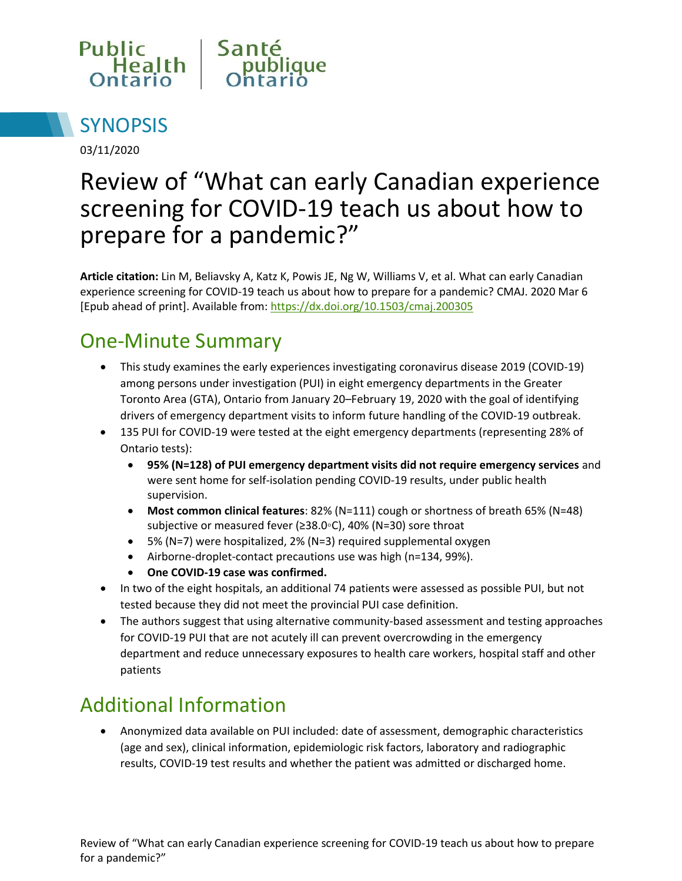



03/11/2020

# Review of "What can early Canadian experience screening for COVID-19 teach us about how to prepare for a pandemic?"

**Article citation:** Lin M, Beliavsky A, Katz K, Powis JE, Ng W, Williams V, et al. What can early Canadian experience screening for COVID-19 teach us about how to prepare for a pandemic? CMAJ. 2020 Mar 6 [Epub ahead of print]. Available from:<https://dx.doi.org/10.1503/cmaj.200305>

## One-Minute Summary

- This study examines the early experiences investigating coronavirus disease 2019 (COVID-19) among persons under investigation (PUI) in eight emergency departments in the Greater Toronto Area (GTA), Ontario from January 20–February 19, 2020 with the goal of identifying drivers of emergency department visits to inform future handling of the COVID-19 outbreak.
- 135 PUI for COVID-19 were tested at the eight emergency departments (representing 28% of Ontario tests):
	- **95% (N=128) of PUI emergency department visits did not require emergency services** and were sent home for self-isolation pending COVID-19 results, under public health supervision.
	- **Most common clinical features**: 82% (N=111) cough or shortness of breath 65% (N=48) subjective or measured fever (≥38.0◦C), 40% (N=30) sore throat
	- 5% (N=7) were hospitalized, 2% (N=3) required supplemental oxygen
	- Airborne-droplet-contact precautions use was high (n=134, 99%).
	- **One COVID-19 case was confirmed.**
- In two of the eight hospitals, an additional 74 patients were assessed as possible PUI, but not tested because they did not meet the provincial PUI case definition.
- The authors suggest that using alternative community-based assessment and testing approaches for COVID-19 PUI that are not acutely ill can prevent overcrowding in the emergency department and reduce unnecessary exposures to health care workers, hospital staff and other patients

#### Additional Information

 Anonymized data available on PUI included: date of assessment, demographic characteristics (age and sex), clinical information, epidemiologic risk factors, laboratory and radiographic results, COVID-19 test results and whether the patient was admitted or discharged home.